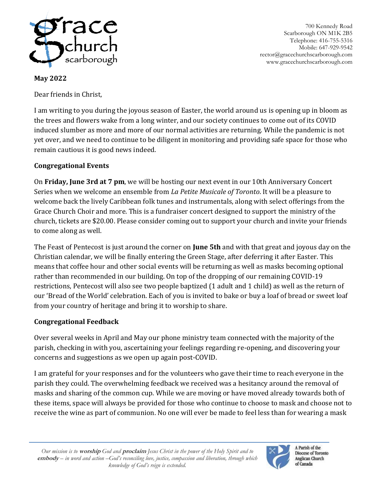

700 Kennedy Road Scarborough ON M1K 2B5 Telephone: 416-755-5316 Mobile: 647-929-9542 rector@gracechurchscarborough.com www.gracechurchscarborough.com

**May 2022**

Dear friends in Christ,

I am writing to you during the joyous season of Easter, the world around us is opening up in bloom as the trees and flowers wake from a long winter, and our society continues to come out of its COVID induced slumber as more and more of our normal activities are returning. While the pandemic is not yet over, and we need to continue to be diligent in monitoring and providing safe space for those who remain cautious it is good news indeed.

## **Congregational Events**

On **Friday, June 3rd at 7 pm**, we will be hosting our next event in our 10th Anniversary Concert Series when we welcome an ensemble from *La Petite Musicale of Toronto*. It will be a pleasure to welcome back the lively Caribbean folk tunes and instrumentals, along with select offerings from the Grace Church Choir and more. This is a fundraiser concert designed to support the ministry of the church, tickets are \$20.00. Please consider coming out to support your church and invite your friends to come along as well.

The Feast of Pentecost is just around the corner on **June 5th** and with that great and joyous day on the Christian calendar, we will be finally entering the Green Stage, after deferring it after Easter. This means that coffee hour and other social events will be returning as well as masks becoming optional rather than recommended in our building. On top of the dropping of our remaining COVID-19 restrictions, Pentecost will also see two people baptized (1 adult and 1 child) as well as the return of our 'Bread of the World' celebration. Each of you is invited to bake or buy a loaf of bread or sweet loaf from your country of heritage and bring it to worship to share.

## **Congregational Feedback**

Over several weeks in April and May our phone ministry team connected with the majority of the parish, checking in with you, ascertaining your feelings regarding re-opening, and discovering your concerns and suggestions as we open up again post-COVID.

I am grateful for your responses and for the volunteers who gave their time to reach everyone in the parish they could. The overwhelming feedback we received was a hesitancy around the removal of masks and sharing of the common cup. While we are moving or have moved already towards both of these items, space will always be provided for those who continue to choose to mask and choose not to receive the wine as part of communion. No one will ever be made to feel less than for wearing a mask



A Parish of the Diocese of Toronto Anglican Church of Canada